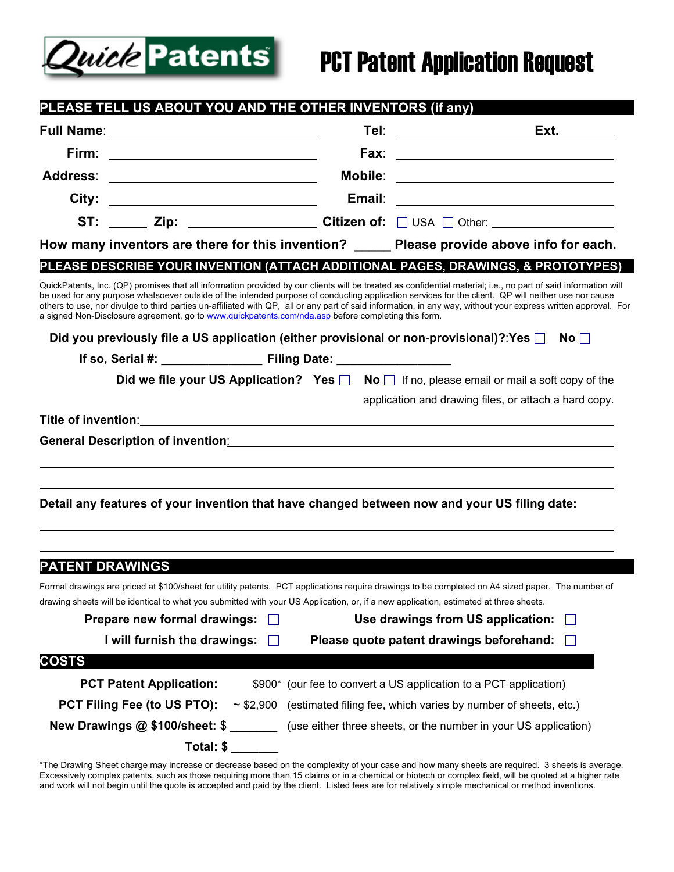

## PCT Patent Application Request

| PLEASE TELL US ABOUT YOU AND THE OTHER INVENTORS (if any)                                                       |              |  |                                                                                                                                                                                                                                                                                                                                                                                                                                                                                         |  |
|-----------------------------------------------------------------------------------------------------------------|--------------|--|-----------------------------------------------------------------------------------------------------------------------------------------------------------------------------------------------------------------------------------------------------------------------------------------------------------------------------------------------------------------------------------------------------------------------------------------------------------------------------------------|--|
|                                                                                                                 |              |  |                                                                                                                                                                                                                                                                                                                                                                                                                                                                                         |  |
|                                                                                                                 |              |  |                                                                                                                                                                                                                                                                                                                                                                                                                                                                                         |  |
| Address: ________________________________                                                                       |              |  |                                                                                                                                                                                                                                                                                                                                                                                                                                                                                         |  |
|                                                                                                                 |              |  |                                                                                                                                                                                                                                                                                                                                                                                                                                                                                         |  |
|                                                                                                                 |              |  | ST: ______ Zip: _____________________ Citizen of: □ USA □ Other: _______________                                                                                                                                                                                                                                                                                                                                                                                                        |  |
| How many inventors are there for this invention? Please provide above info for each.                            |              |  |                                                                                                                                                                                                                                                                                                                                                                                                                                                                                         |  |
|                                                                                                                 |              |  | PLEASE DESCRIBE YOUR INVENTION (ATTACH ADDITIONAL PAGES, DRAWINGS, & PROTOTYPES)                                                                                                                                                                                                                                                                                                                                                                                                        |  |
| a signed Non-Disclosure agreement, go to www.quickpatents.com/nda.asp before completing this form.              |              |  | QuickPatents, Inc. (QP) promises that all information provided by our clients will be treated as confidential material; i.e., no part of said information will<br>be used for any purpose whatsoever outside of the intended purpose of conducting application services for the client. QP will neither use nor cause<br>others to use, nor divulge to third parties un-affiliated with QP, all or any part of said information, in any way, without your express written approval. For |  |
|                                                                                                                 |              |  | Did you previously file a US application (either provisional or non-provisional)?:Yes $\square$ No $\square$                                                                                                                                                                                                                                                                                                                                                                            |  |
|                                                                                                                 |              |  |                                                                                                                                                                                                                                                                                                                                                                                                                                                                                         |  |
|                                                                                                                 |              |  | Did we file your US Application? Yes $\Box$ No $\Box$ If no, please email or mail a soft copy of the                                                                                                                                                                                                                                                                                                                                                                                    |  |
|                                                                                                                 |              |  | application and drawing files, or attach a hard copy.                                                                                                                                                                                                                                                                                                                                                                                                                                   |  |
|                                                                                                                 |              |  | Title of invention: the contract of the contract of the contract of the contract of the contract of the contract of the contract of the contract of the contract of the contract of the contract of the contract of the contra                                                                                                                                                                                                                                                          |  |
|                                                                                                                 |              |  |                                                                                                                                                                                                                                                                                                                                                                                                                                                                                         |  |
|                                                                                                                 |              |  |                                                                                                                                                                                                                                                                                                                                                                                                                                                                                         |  |
|                                                                                                                 |              |  |                                                                                                                                                                                                                                                                                                                                                                                                                                                                                         |  |
|                                                                                                                 |              |  | Detail any features of your invention that have changed between now and your US filing date:                                                                                                                                                                                                                                                                                                                                                                                            |  |
|                                                                                                                 |              |  |                                                                                                                                                                                                                                                                                                                                                                                                                                                                                         |  |
|                                                                                                                 |              |  |                                                                                                                                                                                                                                                                                                                                                                                                                                                                                         |  |
| <b>PATENT DRAWINGS</b>                                                                                          |              |  |                                                                                                                                                                                                                                                                                                                                                                                                                                                                                         |  |
|                                                                                                                 |              |  | Formal drawings are priced at \$100/sheet for utility patents. PCT applications require drawings to be completed on A4 sized paper. The number of<br>drawing sheets will be identical to what you submitted with your US Application, or, if a new application, estimated at three sheets.                                                                                                                                                                                              |  |
| Prepare new formal drawings:<br>Use drawings from US application:<br>$\perp$                                    |              |  |                                                                                                                                                                                                                                                                                                                                                                                                                                                                                         |  |
| I will furnish the drawings:                                                                                    | $\mathsf{L}$ |  | Please quote patent drawings beforehand:                                                                                                                                                                                                                                                                                                                                                                                                                                                |  |
| <b>COSTS</b>                                                                                                    |              |  |                                                                                                                                                                                                                                                                                                                                                                                                                                                                                         |  |
| <b>PCT Patent Application:</b>                                                                                  |              |  | \$900* (our fee to convert a US application to a PCT application)                                                                                                                                                                                                                                                                                                                                                                                                                       |  |
| PCT Filing Fee (to US PTO):<br>$\sim$ \$2,900 (estimated filing fee, which varies by number of sheets, etc.)    |              |  |                                                                                                                                                                                                                                                                                                                                                                                                                                                                                         |  |
| <b>New Drawings @ \$100/sheet: \$</b> _________ (use either three sheets, or the number in your US application) |              |  |                                                                                                                                                                                                                                                                                                                                                                                                                                                                                         |  |
|                                                                                                                 | Total: \$    |  |                                                                                                                                                                                                                                                                                                                                                                                                                                                                                         |  |
|                                                                                                                 |              |  |                                                                                                                                                                                                                                                                                                                                                                                                                                                                                         |  |

\*The Drawing Sheet charge may increase or decrease based on the complexity of your case and how many sheets are required. 3 sheets is average. Excessively complex patents, such as those requiring more than 15 claims or in a chemical or biotech or complex field, will be quoted at a higher rate and work will not begin until the quote is accepted and paid by the client. Listed fees are for relatively simple mechanical or method inventions.